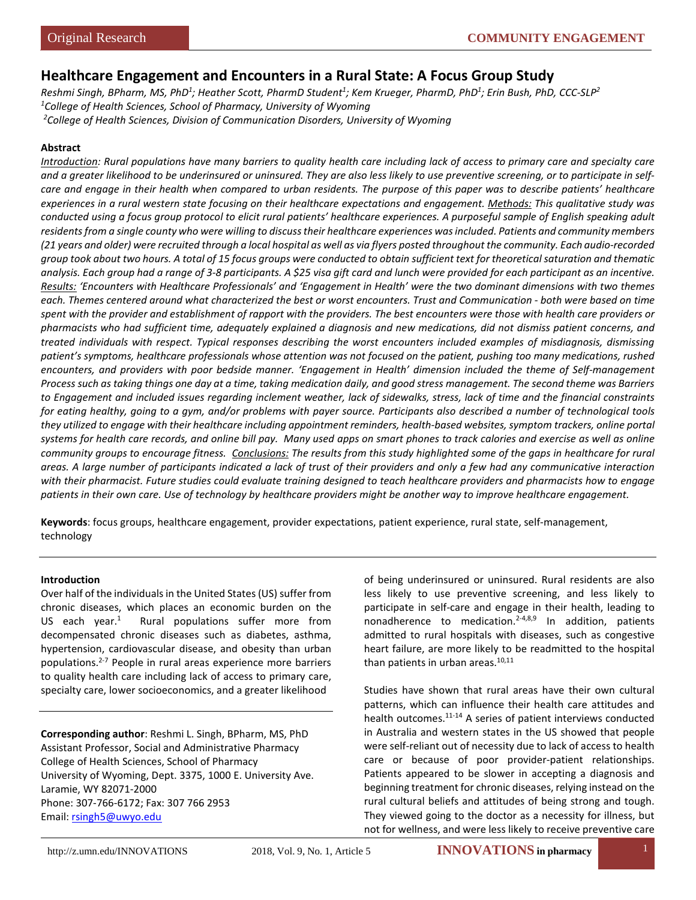# **Healthcare Engagement and Encounters in a Rural State: A Focus Group Study**

*Reshmi Singh, BPharm, MS, PhD1 ; Heather Scott, PharmD Student1 ; Kem Krueger, PharmD, PhD1 ; Erin Bush, PhD, CCC-SLP2 1 College of Health Sciences, School of Pharmacy, University of Wyoming 2 College of Health Sciences, Division of Communication Disorders, University of Wyoming*

## **Abstract**

*Introduction: Rural populations have many barriers to quality health care including lack of access to primary care and specialty care and a greater likelihood to be underinsured or uninsured. They are also less likely to use preventive screening, or to participate in selfcare and engage in their health when compared to urban residents. The purpose of this paper was to describe patients' healthcare experiences in a rural western state focusing on their healthcare expectations and engagement. Methods: This qualitative study was conducted using a focus group protocol to elicit rural patients' healthcare experiences. A purposeful sample of English speaking adult residents from a single county who were willing to discuss their healthcare experiences was included. Patients and community members (21 years and older) were recruited through a local hospital as well as via flyers posted throughout the community. Each audio-recorded group took about two hours. A total of 15 focus groups were conducted to obtain sufficient text for theoretical saturation and thematic analysis. Each group had a range of 3-8 participants. A \$25 visa gift card and lunch were provided for each participant as an incentive. Results: 'Encounters with Healthcare Professionals' and 'Engagement in Health' were the two dominant dimensions with two themes each. Themes centered around what characterized the best or worst encounters. Trust and Communication - both were based on time spent with the provider and establishment of rapport with the providers. The best encounters were those with health care providers or pharmacists who had sufficient time, adequately explained a diagnosis and new medications, did not dismiss patient concerns, and treated individuals with respect. Typical responses describing the worst encounters included examples of misdiagnosis, dismissing patient's symptoms, healthcare professionals whose attention was not focused on the patient, pushing too many medications, rushed encounters, and providers with poor bedside manner. 'Engagement in Health' dimension included the theme of Self-management Process such as taking things one day at a time, taking medication daily, and good stress management. The second theme was Barriers to Engagement and included issues regarding inclement weather, lack of sidewalks, stress, lack of time and the financial constraints for eating healthy, going to a gym, and/or problems with payer source. Participants also described a number of technological tools they utilized to engage with their healthcare including appointment reminders, health-based websites, symptom trackers, online portal systems for health care records, and online bill pay. Many used apps on smart phones to track calories and exercise as well as online community groups to encourage fitness. Conclusions: The results from this study highlighted some of the gaps in healthcare for rural areas. A large number of participants indicated a lack of trust of their providers and only a few had any communicative interaction with their pharmacist. Future studies could evaluate training designed to teach healthcare providers and pharmacists how to engage patients in their own care. Use of technology by healthcare providers might be another way to improve healthcare engagement.* 

**Keywords**: focus groups, healthcare engagement, provider expectations, patient experience, rural state, self-management, technology

#### **Introduction**

Over half of the individuals in the United States (US) suffer from chronic diseases, which places an economic burden on the US each vear. $1$  Rural populations suffer more from decompensated chronic diseases such as diabetes, asthma, hypertension, cardiovascular disease, and obesity than urban populations.2-7 People in rural areas experience more barriers to quality health care including lack of access to primary care, specialty care, lower socioeconomics, and a greater likelihood

**Corresponding author**: Reshmi L. Singh, BPharm, MS, PhD Assistant Professor, Social and Administrative Pharmacy College of Health Sciences, School of Pharmacy University of Wyoming, Dept. 3375, 1000 E. University Ave. Laramie, WY 82071-2000 Phone: 307-766-6172; Fax: 307 766 2953 Email: [rsingh5@uwyo.edu](mailto:rsingh5@uwyo.edu)

of being underinsured or uninsured. Rural residents are also less likely to use preventive screening, and less likely to participate in self-care and engage in their health, leading to nonadherence to medication.<sup>2-4,8,9</sup> In addition, patients admitted to rural hospitals with diseases, such as congestive heart failure, are more likely to be readmitted to the hospital than patients in urban areas.<sup>10,11</sup>

Studies have shown that rural areas have their own cultural patterns, which can influence their health care attitudes and health outcomes.<sup>11-14</sup> A series of patient interviews conducted in Australia and western states in the US showed that people were self-reliant out of necessity due to lack of access to health care or because of poor provider-patient relationships. Patients appeared to be slower in accepting a diagnosis and beginning treatment for chronic diseases, relying instead on the rural cultural beliefs and attitudes of being strong and tough. They viewed going to the doctor as a necessity for illness, but not for wellness, and were less likely to receive preventive care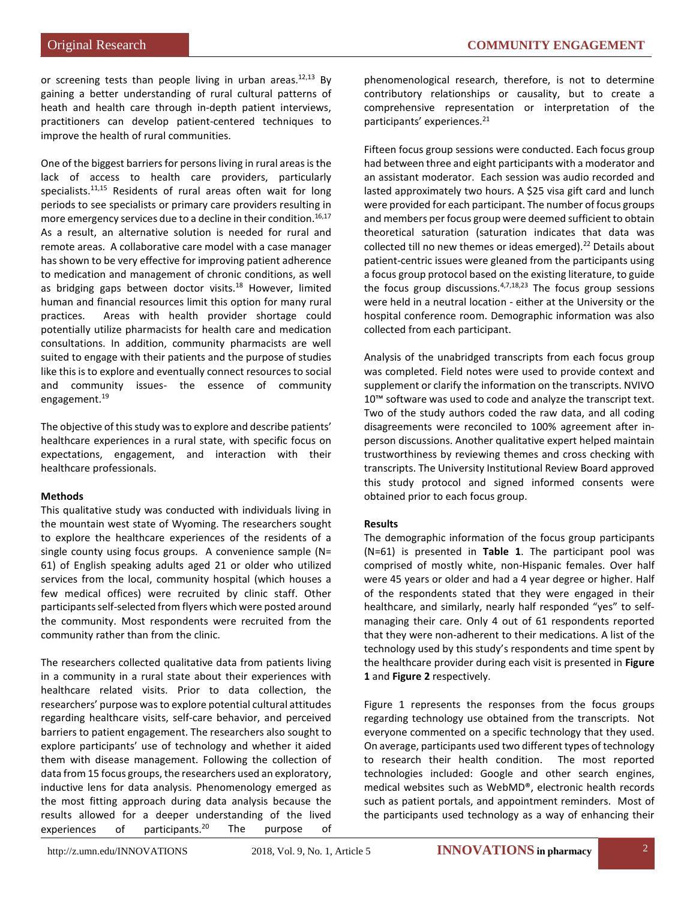or screening tests than people living in urban areas. $12,13$  By gaining a better understanding of rural cultural patterns of heath and health care through in-depth patient interviews, practitioners can develop patient-centered techniques to improve the health of rural communities.

One of the biggest barriers for persons living in rural areas is the lack of access to health care providers, particularly specialists.<sup>11,15</sup> Residents of rural areas often wait for long periods to see specialists or primary care providers resulting in more emergency services due to a decline in their condition.<sup>16,17</sup> As a result, an alternative solution is needed for rural and remote areas. A collaborative care model with a case manager has shown to be very effective for improving patient adherence to medication and management of chronic conditions, as well as bridging gaps between doctor visits.<sup>18</sup> However, limited human and financial resources limit this option for many rural practices. Areas with health provider shortage could potentially utilize pharmacists for health care and medication consultations. In addition, community pharmacists are well suited to engage with their patients and the purpose of studies like this is to explore and eventually connect resources to social and community issues- the essence of community engagement.19

The objective of this study was to explore and describe patients' healthcare experiences in a rural state, with specific focus on expectations, engagement, and interaction with their healthcare professionals.

# **Methods**

This qualitative study was conducted with individuals living in the mountain west state of Wyoming. The researchers sought to explore the healthcare experiences of the residents of a single county using focus groups. A convenience sample (N= 61) of English speaking adults aged 21 or older who utilized services from the local, community hospital (which houses a few medical offices) were recruited by clinic staff. Other participants self-selected from flyers which were posted around the community. Most respondents were recruited from the community rather than from the clinic.

The researchers collected qualitative data from patients living in a community in a rural state about their experiences with healthcare related visits. Prior to data collection, the researchers' purpose was to explore potential cultural attitudes regarding healthcare visits, self-care behavior, and perceived barriers to patient engagement. The researchers also sought to explore participants' use of technology and whether it aided them with disease management. Following the collection of data from 15 focus groups, the researchers used an exploratory, inductive lens for data analysis. Phenomenology emerged as the most fitting approach during data analysis because the results allowed for a deeper understanding of the lived experiences of participants.<sup>20</sup> The purpose of

phenomenological research, therefore, is not to determine contributory relationships or causality, but to create a comprehensive representation or interpretation of the participants' experiences.<sup>21</sup>

Fifteen focus group sessions were conducted. Each focus group had between three and eight participants with a moderator and an assistant moderator. Each session was audio recorded and lasted approximately two hours. A \$25 visa gift card and lunch were provided for each participant. The number of focus groups and members per focus group were deemed sufficient to obtain theoretical saturation (saturation indicates that data was collected till no new themes or ideas emerged).<sup>22</sup> Details about patient-centric issues were gleaned from the participants using a focus group protocol based on the existing literature, to guide the focus group discussions. $4,7,18,23$  The focus group sessions were held in a neutral location - either at the University or the hospital conference room. Demographic information was also collected from each participant.

Analysis of the unabridged transcripts from each focus group was completed. Field notes were used to provide context and supplement or clarify the information on the transcripts. NVIVO 10<sup>™</sup> software was used to code and analyze the transcript text. Two of the study authors coded the raw data, and all coding disagreements were reconciled to 100% agreement after inperson discussions. Another qualitative expert helped maintain trustworthiness by reviewing themes and cross checking with transcripts. The University Institutional Review Board approved this study protocol and signed informed consents were obtained prior to each focus group.

# **Results**

The demographic information of the focus group participants (N=61) is presented in **Table 1**. The participant pool was comprised of mostly white, non-Hispanic females. Over half were 45 years or older and had a 4 year degree or higher. Half of the respondents stated that they were engaged in their healthcare, and similarly, nearly half responded "yes" to selfmanaging their care. Only 4 out of 61 respondents reported that they were non-adherent to their medications. A list of the technology used by this study's respondents and time spent by the healthcare provider during each visit is presented in **Figure 1** and **Figure 2** respectively.

Figure 1 represents the responses from the focus groups regarding technology use obtained from the transcripts. Not everyone commented on a specific technology that they used. On average, participants used two different types of technology to research their health condition. The most reported technologies included: Google and other search engines, medical websites such as WebMD®, electronic health records such as patient portals, and appointment reminders. Most of the participants used technology as a way of enhancing their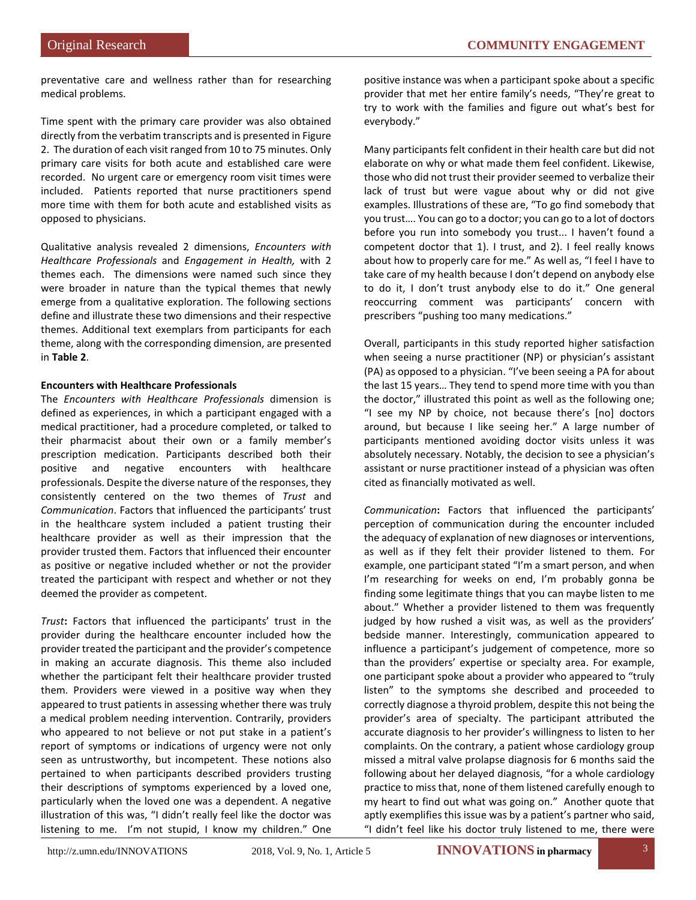preventative care and wellness rather than for researching medical problems.

Time spent with the primary care provider was also obtained directly from the verbatim transcripts and is presented in Figure 2. The duration of each visit ranged from 10 to 75 minutes. Only primary care visits for both acute and established care were recorded. No urgent care or emergency room visit times were included. Patients reported that nurse practitioners spend more time with them for both acute and established visits as opposed to physicians.

Qualitative analysis revealed 2 dimensions, *Encounters with Healthcare Professionals* and *Engagement in Health,* with 2 themes each. The dimensions were named such since they were broader in nature than the typical themes that newly emerge from a qualitative exploration. The following sections define and illustrate these two dimensions and their respective themes. Additional text exemplars from participants for each theme, along with the corresponding dimension, are presented in **Table 2**.

# **Encounters with Healthcare Professionals**

The *Encounters with Healthcare Professionals* dimension is defined as experiences, in which a participant engaged with a medical practitioner, had a procedure completed, or talked to their pharmacist about their own or a family member's prescription medication. Participants described both their positive and negative encounters with healthcare professionals. Despite the diverse nature of the responses, they consistently centered on the two themes of *Trust* and *Communication*. Factors that influenced the participants' trust in the healthcare system included a patient trusting their healthcare provider as well as their impression that the provider trusted them. Factors that influenced their encounter as positive or negative included whether or not the provider treated the participant with respect and whether or not they deemed the provider as competent.

*Trust***:** Factors that influenced the participants' trust in the provider during the healthcare encounter included how the provider treated the participant and the provider's competence in making an accurate diagnosis. This theme also included whether the participant felt their healthcare provider trusted them. Providers were viewed in a positive way when they appeared to trust patients in assessing whether there was truly a medical problem needing intervention. Contrarily, providers who appeared to not believe or not put stake in a patient's report of symptoms or indications of urgency were not only seen as untrustworthy, but incompetent. These notions also pertained to when participants described providers trusting their descriptions of symptoms experienced by a loved one, particularly when the loved one was a dependent. A negative illustration of this was, "I didn't really feel like the doctor was listening to me. I'm not stupid, I know my children." One

positive instance was when a participant spoke about a specific provider that met her entire family's needs, "They're great to try to work with the families and figure out what's best for everybody."

Many participants felt confident in their health care but did not elaborate on why or what made them feel confident. Likewise, those who did not trust their provider seemed to verbalize their lack of trust but were vague about why or did not give examples. Illustrations of these are, "To go find somebody that you trust…. You can go to a doctor; you can go to a lot of doctors before you run into somebody you trust... I haven't found a competent doctor that 1). I trust, and 2). I feel really knows about how to properly care for me." As well as, "I feel I have to take care of my health because I don't depend on anybody else to do it, I don't trust anybody else to do it." One general reoccurring comment was participants' concern with prescribers "pushing too many medications."

Overall, participants in this study reported higher satisfaction when seeing a nurse practitioner (NP) or physician's assistant (PA) as opposed to a physician. "I've been seeing a PA for about the last 15 years… They tend to spend more time with you than the doctor," illustrated this point as well as the following one; "I see my NP by choice, not because there's [no] doctors around, but because I like seeing her." A large number of participants mentioned avoiding doctor visits unless it was absolutely necessary. Notably, the decision to see a physician's assistant or nurse practitioner instead of a physician was often cited as financially motivated as well.

*Communication***:** Factors that influenced the participants' perception of communication during the encounter included the adequacy of explanation of new diagnoses or interventions, as well as if they felt their provider listened to them. For example, one participant stated "I'm a smart person, and when I'm researching for weeks on end, I'm probably gonna be finding some legitimate things that you can maybe listen to me about." Whether a provider listened to them was frequently judged by how rushed a visit was, as well as the providers' bedside manner. Interestingly, communication appeared to influence a participant's judgement of competence, more so than the providers' expertise or specialty area. For example, one participant spoke about a provider who appeared to "truly listen" to the symptoms she described and proceeded to correctly diagnose a thyroid problem, despite this not being the provider's area of specialty. The participant attributed the accurate diagnosis to her provider's willingness to listen to her complaints. On the contrary, a patient whose cardiology group missed a mitral valve prolapse diagnosis for 6 months said the following about her delayed diagnosis, "for a whole cardiology practice to miss that, none of them listened carefully enough to my heart to find out what was going on." Another quote that aptly exemplifies this issue was by a patient's partner who said, "I didn't feel like his doctor truly listened to me, there were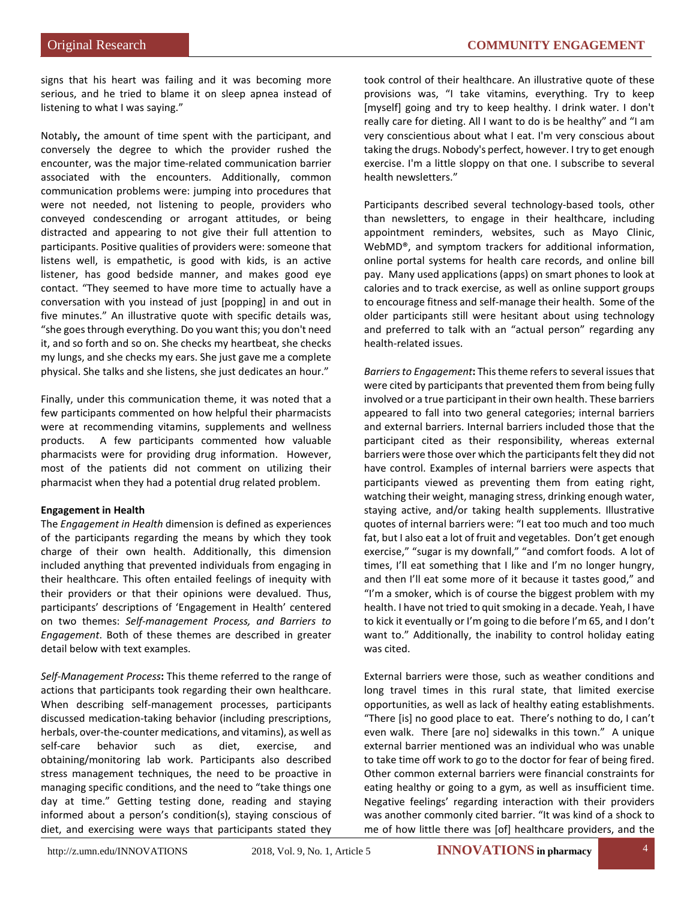signs that his heart was failing and it was becoming more serious, and he tried to blame it on sleep apnea instead of listening to what I was saying."

Notably**,** the amount of time spent with the participant, and conversely the degree to which the provider rushed the encounter, was the major time-related communication barrier associated with the encounters. Additionally, common communication problems were: jumping into procedures that were not needed, not listening to people, providers who conveyed condescending or arrogant attitudes, or being distracted and appearing to not give their full attention to participants. Positive qualities of providers were: someone that listens well, is empathetic, is good with kids, is an active listener, has good bedside manner, and makes good eye contact. "They seemed to have more time to actually have a conversation with you instead of just [popping] in and out in five minutes." An illustrative quote with specific details was, "she goes through everything. Do you want this; you don't need it, and so forth and so on. She checks my heartbeat, she checks my lungs, and she checks my ears. She just gave me a complete physical. She talks and she listens, she just dedicates an hour."

Finally, under this communication theme, it was noted that a few participants commented on how helpful their pharmacists were at recommending vitamins, supplements and wellness products. A few participants commented how valuable pharmacists were for providing drug information. However, most of the patients did not comment on utilizing their pharmacist when they had a potential drug related problem.

# **Engagement in Health**

The *Engagement in Health* dimension is defined as experiences of the participants regarding the means by which they took charge of their own health. Additionally, this dimension included anything that prevented individuals from engaging in their healthcare. This often entailed feelings of inequity with their providers or that their opinions were devalued. Thus, participants' descriptions of 'Engagement in Health' centered on two themes: *Self-management Process, and Barriers to Engagement*. Both of these themes are described in greater detail below with text examples.

*Self-Management Process***:** This theme referred to the range of actions that participants took regarding their own healthcare. When describing self-management processes, participants discussed medication-taking behavior (including prescriptions, herbals, over-the-counter medications, and vitamins), as well as self-care behavior such as diet, exercise, and obtaining/monitoring lab work. Participants also described stress management techniques, the need to be proactive in managing specific conditions, and the need to "take things one day at time." Getting testing done, reading and staying informed about a person's condition(s), staying conscious of diet, and exercising were ways that participants stated they

took control of their healthcare. An illustrative quote of these provisions was, "I take vitamins, everything. Try to keep [myself] going and try to keep healthy. I drink water. I don't really care for dieting. All I want to do is be healthy" and "I am very conscientious about what I eat. I'm very conscious about taking the drugs. Nobody's perfect, however. I try to get enough exercise. I'm a little sloppy on that one. I subscribe to several health newsletters."

Participants described several technology-based tools, other than newsletters, to engage in their healthcare, including appointment reminders, websites, such as Mayo Clinic, WebMD®, and symptom trackers for additional information, online portal systems for health care records, and online bill pay. Many used applications (apps) on smart phones to look at calories and to track exercise, as well as online support groups to encourage fitness and self-manage their health. Some of the older participants still were hesitant about using technology and preferred to talk with an "actual person" regarding any health-related issues.

*Barriers to Engagement***:** This theme refers to several issues that were cited by participants that prevented them from being fully involved or a true participant in their own health. These barriers appeared to fall into two general categories; internal barriers and external barriers. Internal barriers included those that the participant cited as their responsibility, whereas external barriers were those over which the participants felt they did not have control. Examples of internal barriers were aspects that participants viewed as preventing them from eating right, watching their weight, managing stress, drinking enough water, staying active, and/or taking health supplements. Illustrative quotes of internal barriers were: "I eat too much and too much fat, but I also eat a lot of fruit and vegetables. Don't get enough exercise," "sugar is my downfall," "and comfort foods. A lot of times, I'll eat something that I like and I'm no longer hungry, and then I'll eat some more of it because it tastes good," and "I'm a smoker, which is of course the biggest problem with my health. I have not tried to quit smoking in a decade. Yeah, I have to kick it eventually or I'm going to die before I'm 65, and I don't want to." Additionally, the inability to control holiday eating was cited.

External barriers were those, such as weather conditions and long travel times in this rural state, that limited exercise opportunities, as well as lack of healthy eating establishments. "There [is] no good place to eat. There's nothing to do, I can't even walk. There [are no] sidewalks in this town." A unique external barrier mentioned was an individual who was unable to take time off work to go to the doctor for fear of being fired. Other common external barriers were financial constraints for eating healthy or going to a gym, as well as insufficient time. Negative feelings' regarding interaction with their providers was another commonly cited barrier. "It was kind of a shock to me of how little there was [of] healthcare providers, and the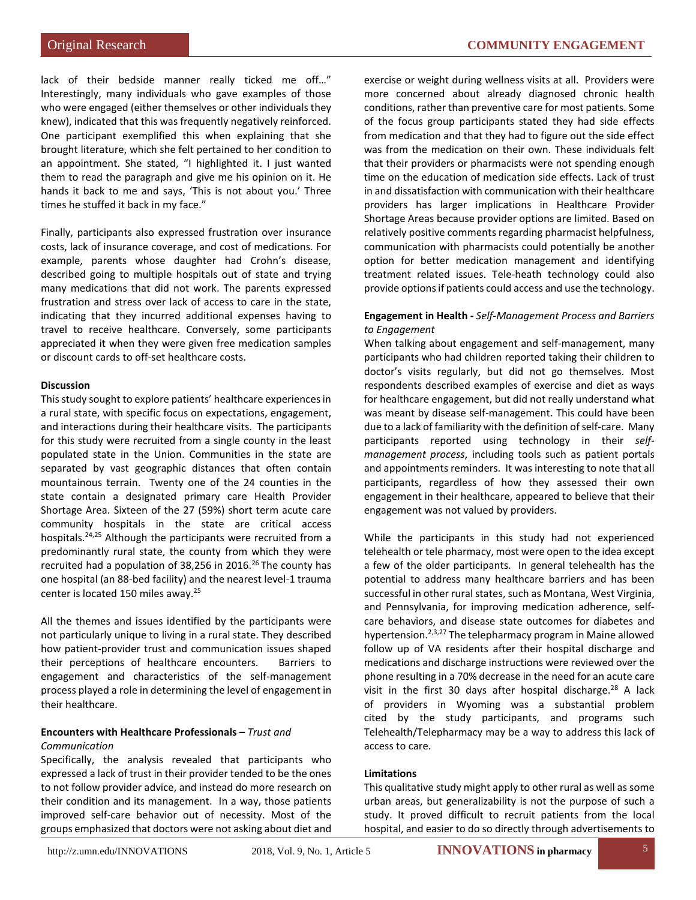lack of their bedside manner really ticked me off…" Interestingly, many individuals who gave examples of those who were engaged (either themselves or other individuals they knew), indicated that this was frequently negatively reinforced. One participant exemplified this when explaining that she brought literature, which she felt pertained to her condition to an appointment. She stated, "I highlighted it. I just wanted them to read the paragraph and give me his opinion on it. He hands it back to me and says, 'This is not about you.' Three times he stuffed it back in my face."

Finally, participants also expressed frustration over insurance costs, lack of insurance coverage, and cost of medications. For example, parents whose daughter had Crohn's disease, described going to multiple hospitals out of state and trying many medications that did not work. The parents expressed frustration and stress over lack of access to care in the state, indicating that they incurred additional expenses having to travel to receive healthcare. Conversely, some participants appreciated it when they were given free medication samples or discount cards to off-set healthcare costs.

#### **Discussion**

This study sought to explore patients' healthcare experiences in a rural state, with specific focus on expectations, engagement, and interactions during their healthcare visits. The participants for this study were recruited from a single county in the least populated state in the Union. Communities in the state are separated by vast geographic distances that often contain mountainous terrain. Twenty one of the 24 counties in the state contain a designated primary care Health Provider Shortage Area. Sixteen of the 27 (59%) short term acute care community hospitals in the state are critical access hospitals.24,25 Although the participants were recruited from a predominantly rural state, the county from which they were recruited had a population of 38,256 in 2016.<sup>26</sup> The county has one hospital (an 88-bed facility) and the nearest level-1 trauma center is located 150 miles away.25

All the themes and issues identified by the participants were not particularly unique to living in a rural state. They described how patient-provider trust and communication issues shaped their perceptions of healthcare encounters. Barriers to engagement and characteristics of the self-management process played a role in determining the level of engagement in their healthcare.

#### **Encounters with Healthcare Professionals –** *Trust and Communication*

Specifically, the analysis revealed that participants who expressed a lack of trust in their provider tended to be the ones to not follow provider advice, and instead do more research on their condition and its management. In a way, those patients improved self-care behavior out of necessity. Most of the groups emphasized that doctors were not asking about diet and exercise or weight during wellness visits at all. Providers were more concerned about already diagnosed chronic health conditions, rather than preventive care for most patients. Some of the focus group participants stated they had side effects from medication and that they had to figure out the side effect was from the medication on their own. These individuals felt that their providers or pharmacists were not spending enough time on the education of medication side effects. Lack of trust in and dissatisfaction with communication with their healthcare providers has larger implications in Healthcare Provider Shortage Areas because provider options are limited. Based on relatively positive comments regarding pharmacist helpfulness, communication with pharmacists could potentially be another option for better medication management and identifying treatment related issues. Tele-heath technology could also provide options if patients could access and use the technology.

# **Engagement in Health -** *Self-Management Process and Barriers to Engagement*

When talking about engagement and self-management, many participants who had children reported taking their children to doctor's visits regularly, but did not go themselves. Most respondents described examples of exercise and diet as ways for healthcare engagement, but did not really understand what was meant by disease self-management. This could have been due to a lack of familiarity with the definition of self-care. Many participants reported using technology in their *selfmanagement process*, including tools such as patient portals and appointments reminders. It was interesting to note that all participants, regardless of how they assessed their own engagement in their healthcare, appeared to believe that their engagement was not valued by providers.

While the participants in this study had not experienced telehealth or tele pharmacy, most were open to the idea except a few of the older participants. In general telehealth has the potential to address many healthcare barriers and has been successful in other rural states, such as Montana, West Virginia, and Pennsylvania, for improving medication adherence, selfcare behaviors, and disease state outcomes for diabetes and hypertension.<sup>2,3,27</sup> The telepharmacy program in Maine allowed follow up of VA residents after their hospital discharge and medications and discharge instructions were reviewed over the phone resulting in a 70% decrease in the need for an acute care visit in the first 30 days after hospital discharge.<sup>28</sup> A lack of providers in Wyoming was a substantial problem cited by the study participants, and programs such Telehealth/Telepharmacy may be a way to address this lack of access to care.

# **Limitations**

This qualitative study might apply to other rural as well as some urban areas, but generalizability is not the purpose of such a study. It proved difficult to recruit patients from the local hospital, and easier to do so directly through advertisements to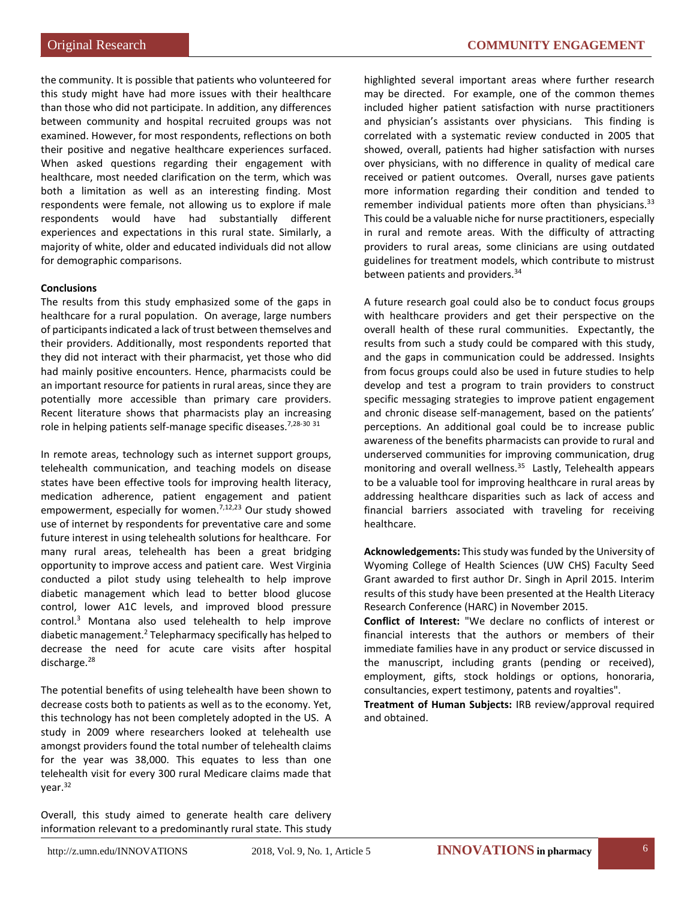the community. It is possible that patients who volunteered for this study might have had more issues with their healthcare than those who did not participate. In addition, any differences between community and hospital recruited groups was not examined. However, for most respondents, reflections on both their positive and negative healthcare experiences surfaced. When asked questions regarding their engagement with healthcare, most needed clarification on the term, which was both a limitation as well as an interesting finding. Most respondents were female, not allowing us to explore if male respondents would have had substantially different experiences and expectations in this rural state. Similarly, a majority of white, older and educated individuals did not allow for demographic comparisons.

#### **Conclusions**

The results from this study emphasized some of the gaps in healthcare for a rural population. On average, large numbers of participants indicated a lack of trust between themselves and their providers. Additionally, most respondents reported that they did not interact with their pharmacist, yet those who did had mainly positive encounters. Hence, pharmacists could be an important resource for patients in rural areas, since they are potentially more accessible than primary care providers. Recent literature shows that pharmacists play an increasing role in helping patients self-manage specific diseases.<sup>7,28-30 31</sup>

In remote areas, technology such as internet support groups, telehealth communication, and teaching models on disease states have been effective tools for improving health literacy, medication adherence, patient engagement and patient empowerment, especially for women.<sup>7,12,23</sup> Our study showed use of internet by respondents for preventative care and some future interest in using telehealth solutions for healthcare. For many rural areas, telehealth has been a great bridging opportunity to improve access and patient care. West Virginia conducted a pilot study using telehealth to help improve diabetic management which lead to better blood glucose control, lower A1C levels, and improved blood pressure control.3 Montana also used telehealth to help improve diabetic management.2 Telepharmacy specifically has helped to decrease the need for acute care visits after hospital discharge.<sup>28</sup>

The potential benefits of using telehealth have been shown to decrease costs both to patients as well as to the economy. Yet, this technology has not been completely adopted in the US. A study in 2009 where researchers looked at telehealth use amongst providers found the total number of telehealth claims for the year was 38,000. This equates to less than one telehealth visit for every 300 rural Medicare claims made that year.32

Overall, this study aimed to generate health care delivery information relevant to a predominantly rural state. This study highlighted several important areas where further research may be directed. For example, one of the common themes included higher patient satisfaction with nurse practitioners and physician's assistants over physicians. This finding is correlated with a systematic review conducted in 2005 that showed, overall, patients had higher satisfaction with nurses over physicians, with no difference in quality of medical care received or patient outcomes. Overall, nurses gave patients more information regarding their condition and tended to remember individual patients more often than physicians. $33$ This could be a valuable niche for nurse practitioners, especially in rural and remote areas. With the difficulty of attracting providers to rural areas, some clinicians are using outdated guidelines for treatment models, which contribute to mistrust between patients and providers.<sup>34</sup>

A future research goal could also be to conduct focus groups with healthcare providers and get their perspective on the overall health of these rural communities. Expectantly, the results from such a study could be compared with this study, and the gaps in communication could be addressed. Insights from focus groups could also be used in future studies to help develop and test a program to train providers to construct specific messaging strategies to improve patient engagement and chronic disease self-management, based on the patients' perceptions. An additional goal could be to increase public awareness of the benefits pharmacists can provide to rural and underserved communities for improving communication, drug monitoring and overall wellness.<sup>35</sup> Lastly, Telehealth appears to be a valuable tool for improving healthcare in rural areas by addressing healthcare disparities such as lack of access and financial barriers associated with traveling for receiving healthcare.

**Acknowledgements:** This study was funded by the University of Wyoming College of Health Sciences (UW CHS) Faculty Seed Grant awarded to first author Dr. Singh in April 2015. Interim results of this study have been presented at the Health Literacy Research Conference (HARC) in November 2015.

**Conflict of Interest:** "We declare no conflicts of interest or financial interests that the authors or members of their immediate families have in any product or service discussed in the manuscript, including grants (pending or received), employment, gifts, stock holdings or options, honoraria, consultancies, expert testimony, patents and royalties".

**Treatment of Human Subjects:** IRB review/approval required and obtained.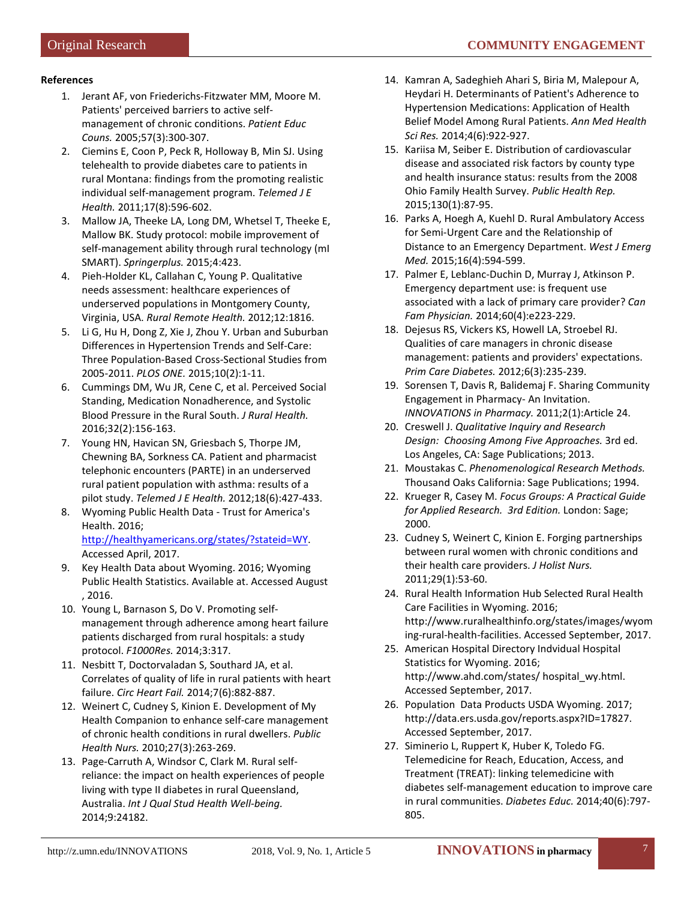# **References**

- 1. Jerant AF, von Friederichs-Fitzwater MM, Moore M. Patients' perceived barriers to active selfmanagement of chronic conditions. *Patient Educ Couns.* 2005;57(3):300-307.
- 2. Ciemins E, Coon P, Peck R, Holloway B, Min SJ. Using telehealth to provide diabetes care to patients in rural Montana: findings from the promoting realistic individual self-management program. *Telemed J E Health.* 2011;17(8):596-602.
- 3. Mallow JA, Theeke LA, Long DM, Whetsel T, Theeke E, Mallow BK. Study protocol: mobile improvement of self-management ability through rural technology (mI SMART). *Springerplus.* 2015;4:423.
- 4. Pieh-Holder KL, Callahan C, Young P. Qualitative needs assessment: healthcare experiences of underserved populations in Montgomery County, Virginia, USA. *Rural Remote Health.* 2012;12:1816.
- 5. Li G, Hu H, Dong Z, Xie J, Zhou Y. Urban and Suburban Differences in Hypertension Trends and Self-Care: Three Population-Based Cross-Sectional Studies from 2005-2011. *PLOS ONE.* 2015;10(2):1-11.
- 6. Cummings DM, Wu JR, Cene C, et al. Perceived Social Standing, Medication Nonadherence, and Systolic Blood Pressure in the Rural South. *J Rural Health.*  2016;32(2):156-163.
- 7. Young HN, Havican SN, Griesbach S, Thorpe JM, Chewning BA, Sorkness CA. Patient and pharmacist telephonic encounters (PARTE) in an underserved rural patient population with asthma: results of a pilot study. *Telemed J E Health.* 2012;18(6):427-433.
- 8. Wyoming Public Health Data Trust for America's Health. 2016;

[http://healthyamericans.org/states/?stateid=WY.](http://healthyamericans.org/states/?stateid=WY) Accessed April, 2017.

- 9. Key Health Data about Wyoming. 2016; Wyoming Public Health Statistics. Available at. Accessed August , 2016.
- 10. Young L, Barnason S, Do V. Promoting selfmanagement through adherence among heart failure patients discharged from rural hospitals: a study protocol. *F1000Res.* 2014;3:317.
- 11. Nesbitt T, Doctorvaladan S, Southard JA, et al. Correlates of quality of life in rural patients with heart failure. *Circ Heart Fail.* 2014;7(6):882-887.
- 12. Weinert C, Cudney S, Kinion E. Development of My Health Companion to enhance self-care management of chronic health conditions in rural dwellers. *Public Health Nurs.* 2010;27(3):263-269.
- 13. Page-Carruth A, Windsor C, Clark M. Rural selfreliance: the impact on health experiences of people living with type II diabetes in rural Queensland, Australia. *Int J Qual Stud Health Well-being.*  2014;9:24182.
- 14. Kamran A, Sadeghieh Ahari S, Biria M, Malepour A, Heydari H. Determinants of Patient's Adherence to Hypertension Medications: Application of Health Belief Model Among Rural Patients. *Ann Med Health Sci Res.* 2014;4(6):922-927.
- 15. Kariisa M, Seiber E. Distribution of cardiovascular disease and associated risk factors by county type and health insurance status: results from the 2008 Ohio Family Health Survey. *Public Health Rep.*  2015;130(1):87-95.
- 16. Parks A, Hoegh A, Kuehl D. Rural Ambulatory Access for Semi-Urgent Care and the Relationship of Distance to an Emergency Department. *West J Emerg Med.* 2015;16(4):594-599.
- 17. Palmer E, Leblanc-Duchin D, Murray J, Atkinson P. Emergency department use: is frequent use associated with a lack of primary care provider? *Can Fam Physician.* 2014;60(4):e223-229.
- 18. Dejesus RS, Vickers KS, Howell LA, Stroebel RJ. Qualities of care managers in chronic disease management: patients and providers' expectations. *Prim Care Diabetes.* 2012;6(3):235-239.
- 19. Sorensen T, Davis R, Balidemaj F. Sharing Community Engagement in Pharmacy- An Invitation. *INNOVATIONS in Pharmacy.* 2011;2(1):Article 24.
- 20. Creswell J. *Qualitative Inquiry and Research Design: Choosing Among Five Approaches.* 3rd ed. Los Angeles, CA: Sage Publications; 2013.
- 21. Moustakas C. *Phenomenological Research Methods.* Thousand Oaks California: Sage Publications; 1994.
- 22. Krueger R, Casey M. *Focus Groups: A Practical Guide for Applied Research. 3rd Edition.* London: Sage; 2000.
- 23. Cudney S, Weinert C, Kinion E. Forging partnerships between rural women with chronic conditions and their health care providers. *J Holist Nurs.*  2011;29(1):53-60.
- 24. Rural Health Information Hub Selected Rural Health Care Facilities in Wyoming. 2016; http://www.ruralhealthinfo.org/states/images/wyom ing-rural-health-facilities. Accessed September, 2017.
- 25. American Hospital Directory Indvidual Hospital Statistics for Wyoming. 2016; http://www.ahd.com/states/ hospital\_wy.html. Accessed September, 2017.
- 26. Population Data Products USDA Wyoming. 2017; http://data.ers.usda.gov/reports.aspx?ID=17827. Accessed September, 2017.
- 27. Siminerio L, Ruppert K, Huber K, Toledo FG. Telemedicine for Reach, Education, Access, and Treatment (TREAT): linking telemedicine with diabetes self-management education to improve care in rural communities. *Diabetes Educ.* 2014;40(6):797- 805.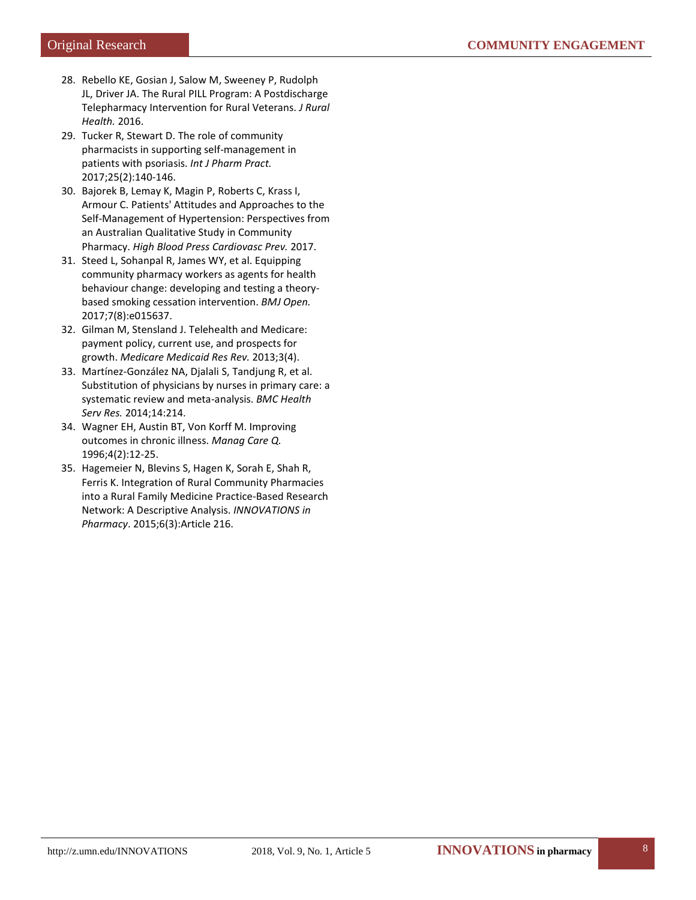- 28. Rebello KE, Gosian J, Salow M, Sweeney P, Rudolph JL, Driver JA. The Rural PILL Program: A Postdischarge Telepharmacy Intervention for Rural Veterans. *J Rural Health.* 2016.
- 29. Tucker R, Stewart D. The role of community pharmacists in supporting self-management in patients with psoriasis. *Int J Pharm Pract.*  2017;25(2):140-146.
- 30. Bajorek B, Lemay K, Magin P, Roberts C, Krass I, Armour C. Patients' Attitudes and Approaches to the Self-Management of Hypertension: Perspectives from an Australian Qualitative Study in Community Pharmacy. *High Blood Press Cardiovasc Prev.* 2017.
- 31. Steed L, Sohanpal R, James WY, et al. Equipping community pharmacy workers as agents for health behaviour change: developing and testing a theorybased smoking cessation intervention. *BMJ Open.*  2017;7(8):e015637.
- 32. Gilman M, Stensland J. Telehealth and Medicare: payment policy, current use, and prospects for growth. *Medicare Medicaid Res Rev.* 2013;3(4).
- 33. Martínez-González NA, Djalali S, Tandjung R, et al. Substitution of physicians by nurses in primary care: a systematic review and meta-analysis. *BMC Health Serv Res.* 2014;14:214.
- 34. Wagner EH, Austin BT, Von Korff M. Improving outcomes in chronic illness. *Manag Care Q.*  1996;4(2):12-25.
- 35. Hagemeier N, Blevins S, Hagen K, Sorah E, Shah R, Ferris K. Integration of Rural Community Pharmacies into a Rural Family Medicine Practice-Based Research Network: A Descriptive Analysis. *INNOVATIONS in Pharmacy*. 2015;6(3):Article 216.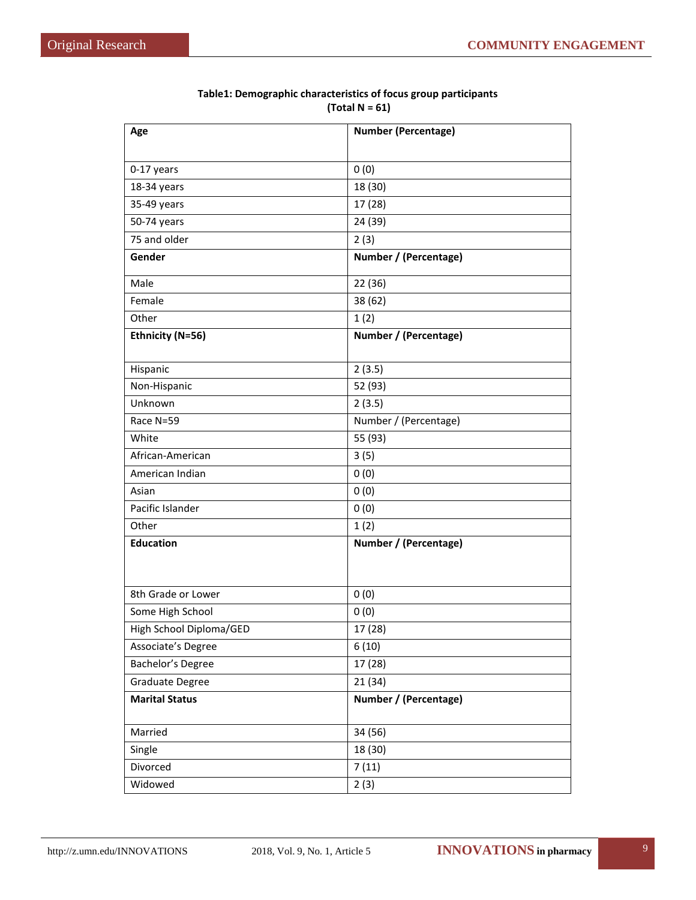| Age                     | <b>Number (Percentage)</b> |
|-------------------------|----------------------------|
|                         |                            |
| 0-17 years              | 0(0)                       |
| 18-34 years             | 18 (30)                    |
| 35-49 years             | 17 (28)                    |
| 50-74 years             | 24 (39)                    |
| 75 and older            | 2(3)                       |
| Gender                  | Number / (Percentage)      |
| Male                    | 22 (36)                    |
| Female                  | 38 (62)                    |
| Other                   | 1(2)                       |
| Ethnicity (N=56)        | Number / (Percentage)      |
|                         |                            |
| Hispanic                | 2(3.5)                     |
| Non-Hispanic            | 52 (93)                    |
| Unknown                 | 2(3.5)                     |
| Race N=59               | Number / (Percentage)      |
| White                   | 55 (93)                    |
| African-American        | 3(5)                       |
| American Indian         | 0(0)                       |
| Asian                   | 0(0)                       |
| Pacific Islander        | 0(0)                       |
| Other                   | 1(2)                       |
| <b>Education</b>        | Number / (Percentage)      |
|                         |                            |
| 8th Grade or Lower      | 0(0)                       |
| Some High School        | 0(0)                       |
| High School Diploma/GED | 17 (28)                    |
| Associate's Degree      | 6(10)                      |
| Bachelor's Degree       | 17 (28)                    |
| Graduate Degree         | 21(34)                     |
| <b>Marital Status</b>   | Number / (Percentage)      |
| Married                 | 34 (56)                    |
| Single                  | 18 (30)                    |
| Divorced                | 7(11)                      |
| Widowed                 | 2(3)                       |

# **Table1: Demographic characteristics of focus group participants (Total N = 61)**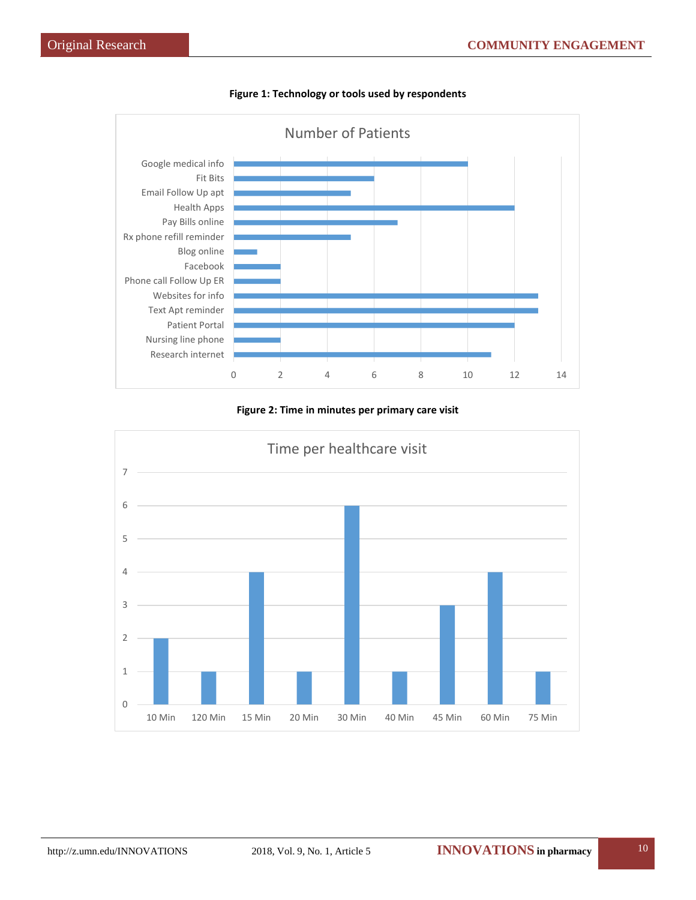

**Figure 1: Technology or tools used by respondents**

# **Figure 2: Time in minutes per primary care visit**

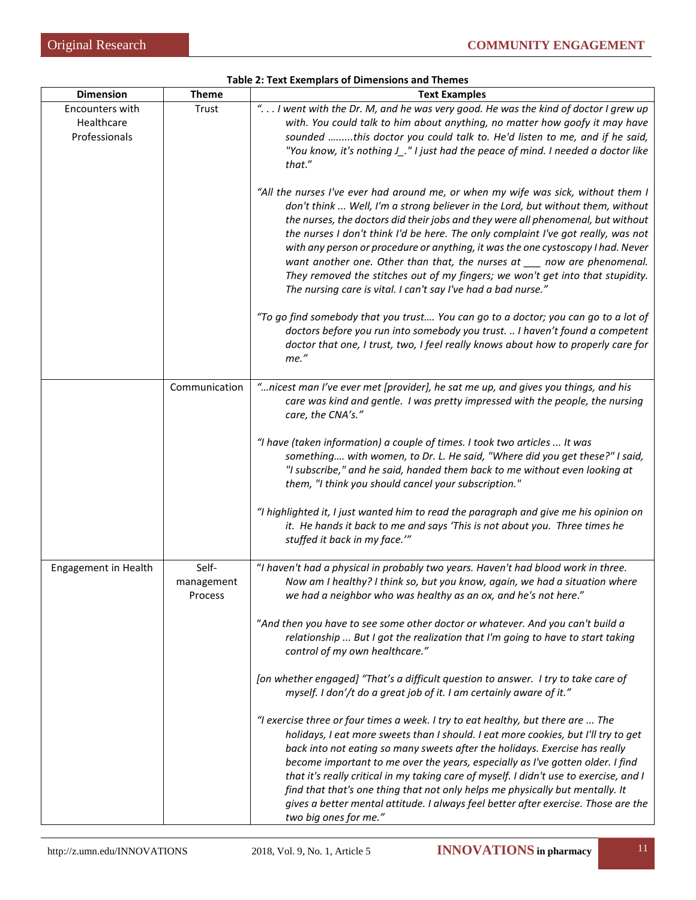| <b>Dimension</b>                               | <b>Theme</b>                   | <b>Text Examples</b>                                                                                                                                                                                                                                                                                                                                                                                                                                                                                                                                                                                                                                             |
|------------------------------------------------|--------------------------------|------------------------------------------------------------------------------------------------------------------------------------------------------------------------------------------------------------------------------------------------------------------------------------------------------------------------------------------------------------------------------------------------------------------------------------------------------------------------------------------------------------------------------------------------------------------------------------------------------------------------------------------------------------------|
| Encounters with<br>Healthcare<br>Professionals | Trust                          | " I went with the Dr. M, and he was very good. He was the kind of doctor I grew up<br>with. You could talk to him about anything, no matter how goofy it may have<br>sounded this doctor you could talk to. He'd listen to me, and if he said,<br>"You know, it's nothing J_." I just had the peace of mind. I needed a doctor like<br>that."                                                                                                                                                                                                                                                                                                                    |
|                                                |                                | "All the nurses I've ever had around me, or when my wife was sick, without them I<br>don't think  Well, I'm a strong believer in the Lord, but without them, without<br>the nurses, the doctors did their jobs and they were all phenomenal, but without<br>the nurses I don't think I'd be here. The only complaint I've got really, was not<br>with any person or procedure or anything, it was the one cystoscopy I had. Never<br>want another one. Other than that, the nurses at ___ now are phenomenal.<br>They removed the stitches out of my fingers; we won't get into that stupidity.<br>The nursing care is vital. I can't say I've had a bad nurse." |
|                                                |                                | "To go find somebody that you trust You can go to a doctor; you can go to a lot of<br>doctors before you run into somebody you trust.  I haven't found a competent<br>doctor that one, I trust, two, I feel really knows about how to properly care for<br>me."                                                                                                                                                                                                                                                                                                                                                                                                  |
|                                                | Communication                  | "nicest man I've ever met [provider], he sat me up, and gives you things, and his<br>care was kind and gentle. I was pretty impressed with the people, the nursing<br>care, the CNA's."                                                                                                                                                                                                                                                                                                                                                                                                                                                                          |
|                                                |                                | "I have (taken information) a couple of times. I took two articles  It was<br>something with women, to Dr. L. He said, "Where did you get these?" I said,<br>"I subscribe," and he said, handed them back to me without even looking at<br>them, "I think you should cancel your subscription."                                                                                                                                                                                                                                                                                                                                                                  |
|                                                |                                | "I highlighted it, I just wanted him to read the paragraph and give me his opinion on<br>it. He hands it back to me and says 'This is not about you. Three times he<br>stuffed it back in my face.""                                                                                                                                                                                                                                                                                                                                                                                                                                                             |
| Engagement in Health                           | Self-<br>management<br>Process | "I haven't had a physical in probably two years. Haven't had blood work in three.<br>Now am I healthy? I think so, but you know, again, we had a situation where<br>we had a neighbor who was healthy as an ox, and he's not here."                                                                                                                                                                                                                                                                                                                                                                                                                              |
|                                                |                                | "And then you have to see some other doctor or whatever. And you can't build a<br>relationship  But I got the realization that I'm going to have to start taking<br>control of my own healthcare."                                                                                                                                                                                                                                                                                                                                                                                                                                                               |
|                                                |                                | [on whether engaged] "That's a difficult question to answer. I try to take care of<br>myself. I don'/t do a great job of it. I am certainly aware of it."                                                                                                                                                                                                                                                                                                                                                                                                                                                                                                        |
|                                                |                                | "I exercise three or four times a week. I try to eat healthy, but there are  The<br>holidays, I eat more sweets than I should. I eat more cookies, but I'll try to get<br>back into not eating so many sweets after the holidays. Exercise has really<br>become important to me over the years, especially as I've gotten older. I find<br>that it's really critical in my taking care of myself. I didn't use to exercise, and I<br>find that that's one thing that not only helps me physically but mentally. It<br>gives a better mental attitude. I always feel better after exercise. Those are the<br>two big ones for me."                                |

**Table 2: Text Exemplars of Dimensions and Themes**